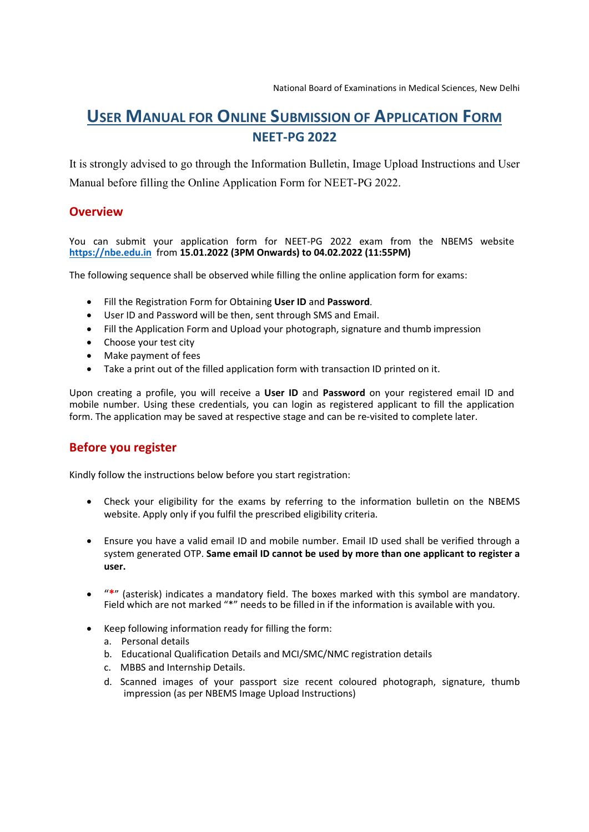# USER MANUAL FOR ONLINE SUBMISSION OF APPLICATION FORM NEET-PG 2022

It is strongly advised to go through the Information Bulletin, Image Upload Instructions and User Manual before filling the Online Application Form for NEET-PG 2022.

## **Overview**

### You can submit your application form for NEET-PG 2022 exam from the NBEMS website https://nbe.edu.in from 15.01.2022 (3PM Onwards) to 04.02.2022 (11:55PM)

The following sequence shall be observed while filling the online application form for exams:

- Fill the Registration Form for Obtaining User ID and Password.
- User ID and Password will be then, sent through SMS and Email.
- Fill the Application Form and Upload your photograph, signature and thumb impression
- Choose your test city
- Make payment of fees
- Take a print out of the filled application form with transaction ID printed on it.

Upon creating a profile, you will receive a User ID and Password on your registered email ID and mobile number. Using these credentials, you can login as registered applicant to fill the application form. The application may be saved at respective stage and can be re-visited to complete later.

# Before you register

Kindly follow the instructions below before you start registration:

- Check your eligibility for the exams by referring to the information bulletin on the NBEMS website. Apply only if you fulfil the prescribed eligibility criteria.
- Ensure you have a valid email ID and mobile number. Email ID used shall be verified through a system generated OTP. Same email ID cannot be used by more than one applicant to register a user.
- "\*" (asterisk) indicates a mandatory field. The boxes marked with this symbol are mandatory. Field which are not marked "\*" needs to be filled in if the information is available with you.
- Keep following information ready for filling the form:
	- a. Personal details
	- b. Educational Qualification Details and MCI/SMC/NMC registration details
	- c. MBBS and Internship Details.
	- d. Scanned images of your passport size recent coloured photograph, signature, thumb impression (as per NBEMS Image Upload Instructions)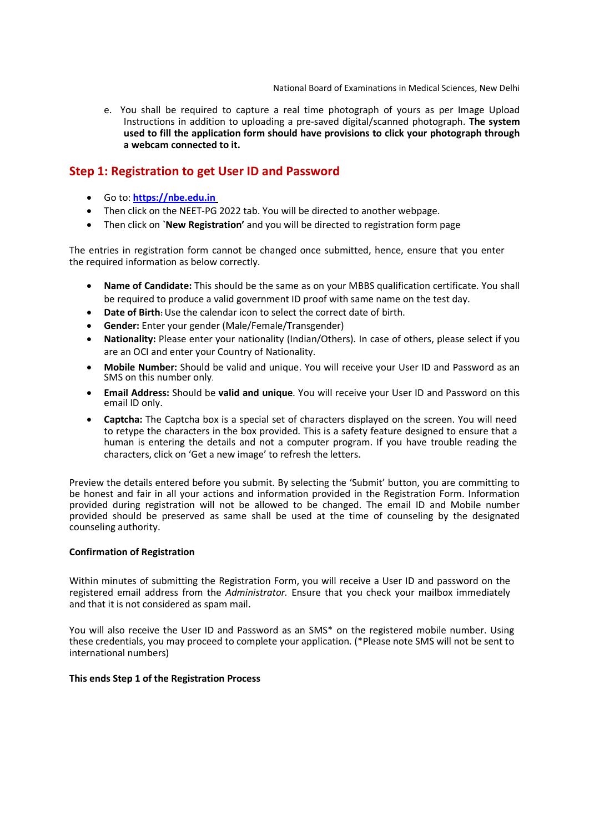e. You shall be required to capture a real time photograph of yours as per Image Upload Instructions in addition to uploading a pre-saved digital/scanned photograph. The system used to fill the application form should have provisions to click your photograph through a webcam connected to it.

### Step 1: Registration to get User ID and Password

- Go to: https://nbe.edu.in
- Then click on the NEET-PG 2022 tab. You will be directed to another webpage.
- Then click on `New Registration' and you will be directed to registration form page

The entries in registration form cannot be changed once submitted, hence, ensure that you enter the required information as below correctly.

- Name of Candidate: This should be the same as on your MBBS qualification certificate. You shall be required to produce a valid government ID proof with same name on the test day.
- Date of Birth: Use the calendar icon to select the correct date of birth.
- Gender: Enter your gender (Male/Female/Transgender)
- Nationality: Please enter your nationality (Indian/Others). In case of others, please select if you are an OCI and enter your Country of Nationality.
- Mobile Number: Should be valid and unique. You will receive your User ID and Password as an SMS on this number only.
- Email Address: Should be valid and unique. You will receive your User ID and Password on this email ID only.
- Captcha: The Captcha box is a special set of characters displayed on the screen. You will need to retype the characters in the box provided. This is a safety feature designed to ensure that a human is entering the details and not a computer program. If you have trouble reading the characters, click on 'Get a new image' to refresh the letters.

Preview the details entered before you submit. By selecting the 'Submit' button, you are committing to be honest and fair in all your actions and information provided in the Registration Form. Information provided during registration will not be allowed to be changed. The email ID and Mobile number provided should be preserved as same shall be used at the time of counseling by the designated counseling authority.

#### Confirmation of Registration

Within minutes of submitting the Registration Form, you will receive a User ID and password on the registered email address from the Administrator. Ensure that you check your mailbox immediately and that it is not considered as spam mail.

You will also receive the User ID and Password as an SMS\* on the registered mobile number. Using these credentials, you may proceed to complete your application. (\*Please note SMS will not be sent to international numbers)

#### This ends Step 1 of the Registration Process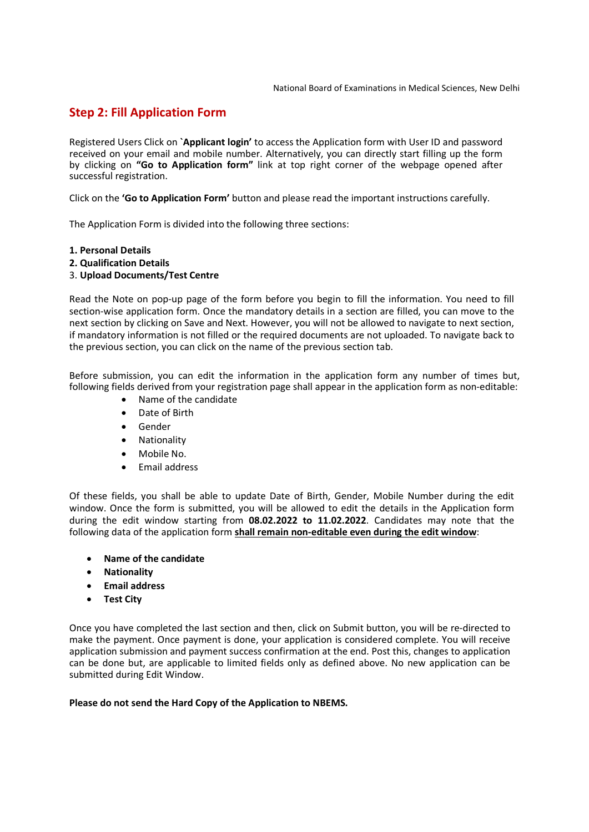## Step 2: Fill Application Form

Registered Users Click on `Applicant login' to access the Application form with User ID and password received on your email and mobile number. Alternatively, you can directly start filling up the form by clicking on "Go to Application form" link at top right corner of the webpage opened after successful registration.

Click on the 'Go to Application Form' button and please read the important instructions carefully.

The Application Form is divided into the following three sections:

#### 1. Personal Details

2. Qualification Details

#### 3. Upload Documents/Test Centre

Read the Note on pop-up page of the form before you begin to fill the information. You need to fill section-wise application form. Once the mandatory details in a section are filled, you can move to the next section by clicking on Save and Next. However, you will not be allowed to navigate to next section, if mandatory information is not filled or the required documents are not uploaded. To navigate back to the previous section, you can click on the name of the previous section tab.

Before submission, you can edit the information in the application form any number of times but, following fields derived from your registration page shall appear in the application form as non-editable:

- Name of the candidate
- Date of Birth
- Gender
- Nationality
- Mobile No.
- Fmail address

Of these fields, you shall be able to update Date of Birth, Gender, Mobile Number during the edit window. Once the form is submitted, you will be allowed to edit the details in the Application form during the edit window starting from 08.02.2022 to 11.02.2022. Candidates may note that the following data of the application form shall remain non-editable even during the edit window:

- Name of the candidate
- **•** Nationality
- **•** Email address
- Test City

Once you have completed the last section and then, click on Submit button, you will be re-directed to make the payment. Once payment is done, your application is considered complete. You will receive application submission and payment success confirmation at the end. Post this, changes to application can be done but, are applicable to limited fields only as defined above. No new application can be submitted during Edit Window.

#### Please do not send the Hard Copy of the Application to NBEMS.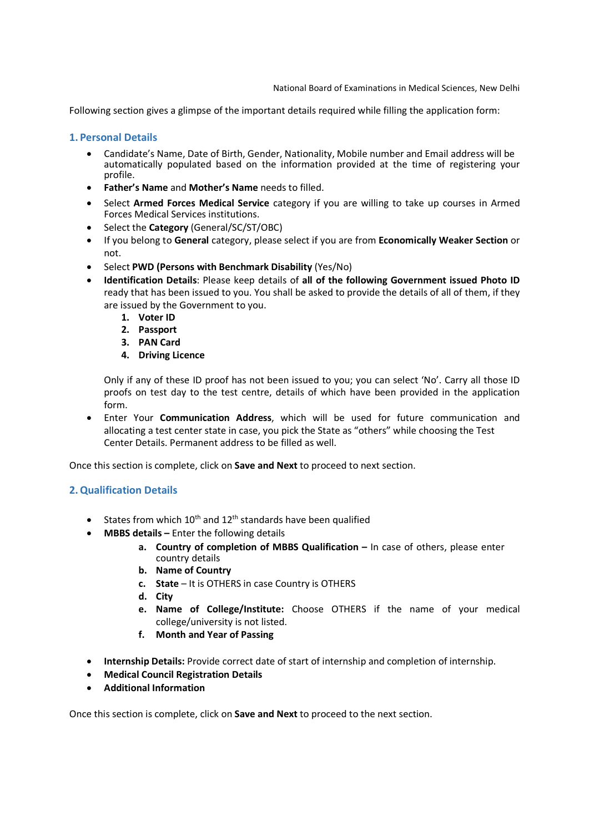Following section gives a glimpse of the important details required while filling the application form:

#### 1. Personal Details

- Candidate's Name, Date of Birth, Gender, Nationality, Mobile number and Email address will be automatically populated based on the information provided at the time of registering your profile.
- Father's Name and Mother's Name needs to filled.
- Select Armed Forces Medical Service category if you are willing to take up courses in Armed Forces Medical Services institutions.
- Select the Category (General/SC/ST/OBC)
- If you belong to General category, please select if you are from Economically Weaker Section or not.
- Select PWD (Persons with Benchmark Disability (Yes/No)
- Identification Details: Please keep details of all of the following Government issued Photo ID ready that has been issued to you. You shall be asked to provide the details of all of them, if they are issued by the Government to you.
	- 1. Voter ID
	- 2. Passport
	- 3. PAN Card
	- 4. Driving Licence

Only if any of these ID proof has not been issued to you; you can select 'No'. Carry all those ID proofs on test day to the test centre, details of which have been provided in the application form.

 Enter Your Communication Address, which will be used for future communication and allocating a test center state in case, you pick the State as "others" while choosing the Test Center Details. Permanent address to be filled as well.

Once this section is complete, click on Save and Next to proceed to next section.

### 2.Qualification Details

- States from which  $10^{th}$  and  $12^{th}$  standards have been qualified
- MBBS details Enter the following details
	- a. Country of completion of MBBS Qualification In case of others, please enter country details
	- b. Name of Country
	- c. State It is OTHERS in case Country is OTHERS
	- d. City
	- e. Name of College/Institute: Choose OTHERS if the name of your medical college/university is not listed.
	- f. Month and Year of Passing
- Internship Details: Provide correct date of start of internship and completion of internship.
- Medical Council Registration Details
- Additional Information

Once this section is complete, click on **Save and Next** to proceed to the next section.